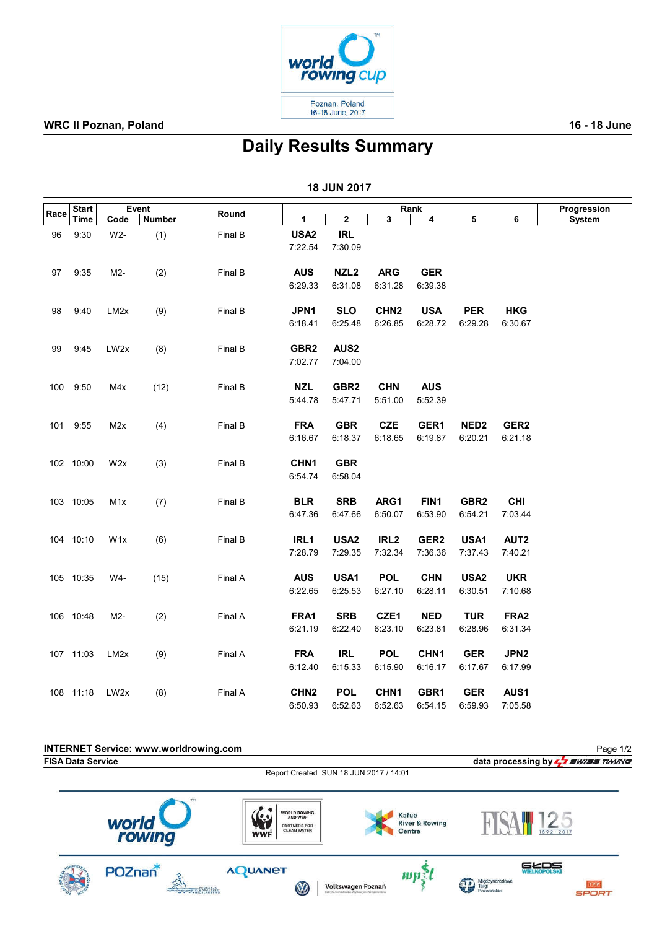

#### WRC II Poznan, Poland 2008 and 2009 and 2009 and 2009 and 2009 and 2009 and 2009 and 2009 and 2009 and 2009 and 2009 and 2009 and 2009 and 2009 and 2009 and 2009 and 2009 and 2009 and 2009 and 2009 and 2009 and 2009 and 20

## Daily Results Summary

| 18 JUN 2017 |                      |                   |        |         |                  |                  |                  |                  |                  |                  |        |
|-------------|----------------------|-------------------|--------|---------|------------------|------------------|------------------|------------------|------------------|------------------|--------|
| Race        | <b>Start</b><br>Time | Event             |        |         | Rank             |                  |                  |                  |                  | Progression      |        |
|             |                      | Code              | Number | Round   | 1                | 2                | 3                | 4                | 5                | 6                | System |
| 96          | 9:30                 | W2-               | (1)    | Final B | USA <sub>2</sub> | <b>IRL</b>       |                  |                  |                  |                  |        |
|             |                      |                   |        |         | 7:22.54          | 7:30.09          |                  |                  |                  |                  |        |
| 97          | 9:35                 | M2-               | (2)    | Final B | <b>AUS</b>       | NZL <sub>2</sub> | <b>ARG</b>       | <b>GER</b>       |                  |                  |        |
|             |                      |                   |        |         | 6:29.33          | 6:31.08          | 6:31.28          | 6:39.38          |                  |                  |        |
| 98          | 9:40                 | LM <sub>2</sub> x | (9)    | Final B | JPN1             | <b>SLO</b>       | CHN <sub>2</sub> | <b>USA</b>       | <b>PER</b>       | <b>HKG</b>       |        |
|             |                      |                   |        |         | 6:18.41          | 6:25.48          | 6:26.85          | 6:28.72          | 6:29.28          | 6:30.67          |        |
| 99          | 9:45                 | LW2x              | (8)    | Final B | GBR <sub>2</sub> | AUS <sub>2</sub> |                  |                  |                  |                  |        |
|             |                      |                   |        |         | 7:02.77          | 7:04.00          |                  |                  |                  |                  |        |
|             | 100 9:50             | M4x               | (12)   | Final B | <b>NZL</b>       | GBR <sub>2</sub> | <b>CHN</b>       | <b>AUS</b>       |                  |                  |        |
|             |                      |                   |        |         | 5:44.78          | 5:47.71          | 5:51.00          | 5:52.39          |                  |                  |        |
|             | 101 9:55             | M2x               | (4)    | Final B | <b>FRA</b>       | <b>GBR</b>       | <b>CZE</b>       | GER1             | NED <sub>2</sub> | GER <sub>2</sub> |        |
|             |                      |                   |        |         | 6:16.67          | 6:18.37          | 6:18.65          | 6:19.87          | 6:20.21          | 6:21.18          |        |
|             | 102 10:00            | W2x               | (3)    | Final B | CHN <sub>1</sub> | <b>GBR</b>       |                  |                  |                  |                  |        |
|             |                      |                   |        |         | 6:54.74          | 6:58.04          |                  |                  |                  |                  |        |
|             | 103 10:05            | M1x               | (7)    | Final B | <b>BLR</b>       | <b>SRB</b>       | ARG1             | FIN1             | GBR <sub>2</sub> | <b>CHI</b>       |        |
|             |                      |                   |        |         | 6:47.36          | 6:47.66          | 6:50.07          | 6:53.90          | 6:54.21          | 7:03.44          |        |
|             | 104 10:10            | W <sub>1</sub> x  | (6)    | Final B | IRL1             | USA <sub>2</sub> | IRL <sub>2</sub> | GER <sub>2</sub> | USA1             | AUT <sub>2</sub> |        |
|             |                      |                   |        |         | 7:28.79          | 7:29.35          | 7:32.34          | 7:36.36          | 7:37.43          | 7:40.21          |        |
|             | 105 10:35            | W4-               | (15)   | Final A | <b>AUS</b>       | USA1             | <b>POL</b>       | <b>CHN</b>       | USA <sub>2</sub> | <b>UKR</b>       |        |
|             |                      |                   |        |         | 6:22.65          | 6:25.53          | 6:27.10          | 6:28.11          | 6:30.51          | 7:10.68          |        |
|             | 106 10:48            | M2-               | (2)    | Final A | FRA1             | <b>SRB</b>       | CZE1             | <b>NED</b>       | <b>TUR</b>       | FRA <sub>2</sub> |        |
|             |                      |                   |        |         | 6:21.19          | 6:22.40          | 6:23.10          | 6:23.81          | 6:28.96          | 6:31.34          |        |
|             | 107 11:03            | LM <sub>2</sub> x | (9)    | Final A | <b>FRA</b>       | <b>IRL</b>       | <b>POL</b>       | CHN <sub>1</sub> | <b>GER</b>       | JPN <sub>2</sub> |        |
|             |                      |                   |        |         | 6:12.40          | 6:15.33          | 6:15.90          | 6:16.17          | 6:17.67          | 6:17.99          |        |
|             | 108 11:18            | LW <sub>2x</sub>  | (8)    | Final A | CHN <sub>2</sub> | <b>POL</b>       | CHN <sub>1</sub> | GBR1             | <b>GER</b>       | AUS1             |        |
|             |                      |                   |        |         | 6:50.93          | 6:52.63          | 6:52.63          | 6:54.15          | 6:59.93          | 7:05.58          |        |